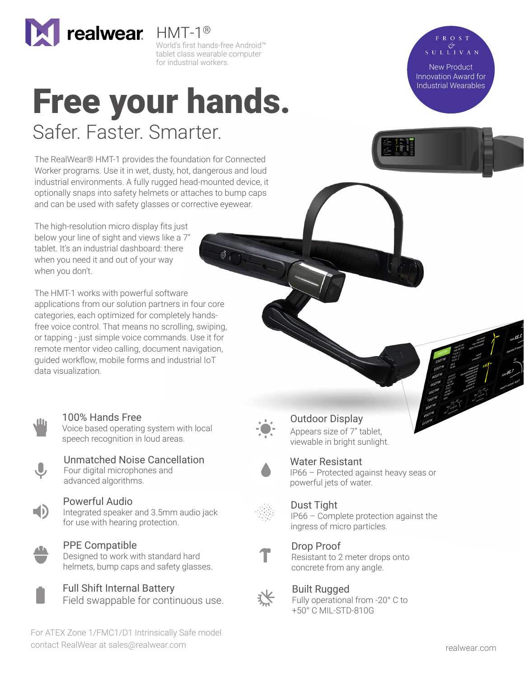

World's first hands-free Android™ tablet class wearable computer for industrial workers.

# Free your hands. Safer. Faster. Smarter.

The RealWear® HMT-1 provides the foundation for Connected Worker programs. Use it in wet, dusty, hot, dangerous and loud industrial environments. A fully rugged head-mounted device, it optionally snaps into safety helmets or attaches to bump caps and can be used with safety glasses or corrective eyewear.

The high-resolution micro display fits just below your line of sight and views like a 7" tablet. It's an industrial dashboard: there when you need it and out of your way when you don't.

The HMT-1 works with powerful software applications from our solution partners in four core categories, each optimized for completely handsfree voice control. That means no scrolling, swiping, or tapping - just simple voice commands. Use it for remote mentor video calling, document navigation, guided workflow, mobile forms and industrial IoT data visualization.



### 100% Hands Free

Voice based operating system with local speech recognition in loud areas.



Unmatched Noise Cancellation Four digital microphones and advanced algorithms.

## $\blacksquare$

### Powerful Audio Integrated speaker and 3.5mm audio jack for use with hearing protection.



### PPE Compatible Designed to work with standard hard

helmets, bump caps and safety glasses.



### Full Shift Internal Battery Field swappable for continuous use.

For ATEX Zone 1/FMC1/D1 Intrinsically Safe model contact RealWear at sales@realwear.com



# viewable in bright sunlight.

Outdoor Display Appears size of 7" tablet,

Water Resistant IP66 – Protected against heavy seas or powerful jets of water.



### Dust Tight

IP66 – Complete protection against the ingress of micro particles.



### Drop Proof Resistant to 2 meter drops onto concrete from any angle.



# Built Rugged

Fully operational from -20° C to +50° C MIL-STD-810G

 $R$   $\Omega$   $S$ 

New Product Innovation Award for Industrial Wearables